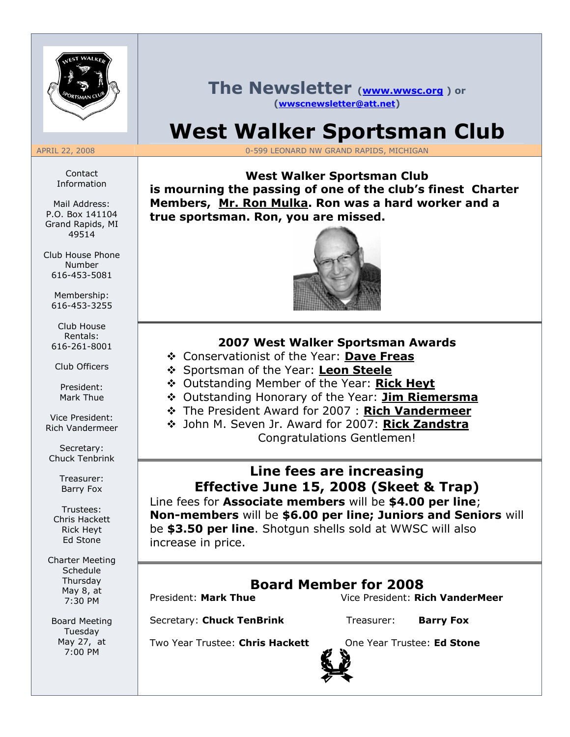

Contact Information

Mail Address: P.O. Box 141104 Grand Rapids, MI 49514

Club House Phone Number 616-453-5081

Membership: 616-453-3255

Club House Rentals: 616-261-8001

Club Officers

President: Mark Thue

Vice President: Rich Vandermeer

Secretary: Chuck Tenbrink

> Treasurer: Barry Fox

Trustees: Chris Hackett Rick Heyt Ed Stone

Charter Meeting Schedule Thursday May 8, at 7:30 PM

Board Meeting Tuesday May 27, at 7:00 PM

### The Newsletter (www.wwsc.org) or (wwscnewsletter@att.net)

# West Walker Sportsman Club

APRIL 22, 2008 0-599 LEONARD NW GRAND RAPIDS, MICHIGAN

West Walker Sportsman Club is mourning the passing of one of the club's finest Charter Members, Mr. Ron Mulka. Ron was a hard worker and a true sportsman. Ron, you are missed.



#### 2007 West Walker Sportsman Awards

- ❖ Conservationist of the Year: Dave Freas
- Sportsman of the Year: Leon Steele
- ◆ Outstanding Member of the Year: Rick Heyt
- ◆ Outstanding Honorary of the Year: Jim Riemersma
- \* The President Award for 2007 : Rich Vandermeer
- ◆ John M. Seven Jr. Award for 2007: Rick Zandstra Congratulations Gentlemen!

# Line fees are increasing Effective June 15, 2008 (Skeet & Trap)

Line fees for **Associate members** will be \$4.00 per line; Non-members will be \$6.00 per line; Juniors and Seniors will be \$3.50 per line. Shotgun shells sold at WWSC will also increase in price.

# Board Member for 2008

President: Mark Thue Vice President: Rich VanderMeer

Secretary: Chuck TenBrink Treasurer: Barry Fox

Two Year Trustee: Chris Hackett One Year Trustee: Ed Stone

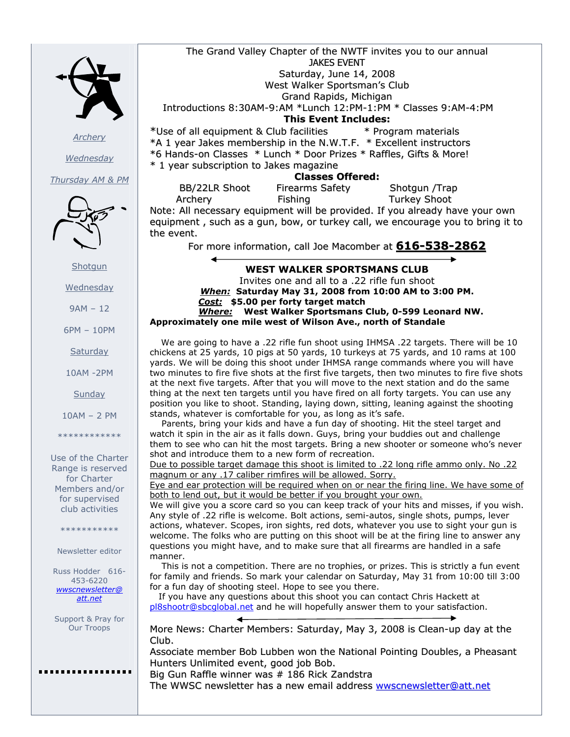

**Archery** 

**Wednesday** 

Thursday AM & PM



**Shotgun** 

Wednesday

9AM – 12

6PM – 10PM

**Saturday** 

10AM -2PM

**Sunday** 

10AM – 2 PM

\*\*\*\*\*\*\*\*\*\*\*\*

Use of the Charter Range is reserved for Charter Members and/or for supervised club activities

\*\*\*\*\*\*\*\*\*\*\*

Newsletter editor

Russ Hodder 616- 453-6220 wwscnewsletter@ att.net

Support & Pray for Our Troops

........

The Grand Valley Chapter of the NWTF invites you to our annual JAKES EVENT Saturday, June 14, 2008 West Walker Sportsman's Club Grand Rapids, Michigan Introductions 8:30AM-9:AM \*Lunch 12:PM-1:PM \* Classes 9:AM-4:PM This Event Includes: \*Use of all equipment & Club facilities \* Program materials \*A 1 year Jakes membership in the N.W.T.F. \* Excellent instructors \*6 Hands-on Classes \* Lunch \* Door Prizes \* Raffles, Gifts & More! \* 1 year subscription to Jakes magazine Classes Offered: BB/22LR Shoot Firearms Safety Shotgun /Trap

Archery Fishing Turkey Shoot Note: All necessary equipment will be provided. If you already have your own equipment , such as a gun, bow, or turkey call, we encourage you to bring it to the event.

For more information, call Joe Macomber at 616-538-2862

WEST WALKER SPORTSMANS CLUB Invites one and all to a .22 rifle fun shoot When: Saturday May 31, 2008 from 10:00 AM to 3:00 PM. Cost: \$5.00 per forty target match Where: West Walker Sportsmans Club, 0-599 Leonard NW. Approximately one mile west of Wilson Ave., north of Standale

 We are going to have a .22 rifle fun shoot using IHMSA .22 targets. There will be 10 chickens at 25 yards, 10 pigs at 50 yards, 10 turkeys at 75 yards, and 10 rams at 100 yards. We will be doing this shoot under IHMSA range commands where you will have two minutes to fire five shots at the first five targets, then two minutes to fire five shots at the next five targets. After that you will move to the next station and do the same thing at the next ten targets until you have fired on all forty targets. You can use any position you like to shoot. Standing, laying down, sitting, leaning against the shooting stands, whatever is comfortable for you, as long as it's safe.

 Parents, bring your kids and have a fun day of shooting. Hit the steel target and watch it spin in the air as it falls down. Guys, bring your buddies out and challenge them to see who can hit the most targets. Bring a new shooter or someone who's never shot and introduce them to a new form of recreation.

Due to possible target damage this shoot is limited to .22 long rifle ammo only. No .22 magnum or any .17 caliber rimfires will be allowed. Sorry.

Eye and ear protection will be required when on or near the firing line. We have some of both to lend out, but it would be better if you brought your own.

We will give you a score card so you can keep track of your hits and misses, if you wish. Any style of .22 rifle is welcome. Bolt actions, semi-autos, single shots, pumps, lever actions, whatever. Scopes, iron sights, red dots, whatever you use to sight your gun is welcome. The folks who are putting on this shoot will be at the firing line to answer any questions you might have, and to make sure that all firearms are handled in a safe manner.

 This is not a competition. There are no trophies, or prizes. This is strictly a fun event for family and friends. So mark your calendar on Saturday, May 31 from 10:00 till 3:00 for a fun day of shooting steel. Hope to see you there.

 If you have any questions about this shoot you can contact Chris Hackett at pl8shootr@sbcglobal.net and he will hopefully answer them to your satisfaction.

More News: Charter Members: Saturday, May 3, 2008 is Clean-up day at the Club.

Associate member Bob Lubben won the National Pointing Doubles, a Pheasant Hunters Unlimited event, good job Bob.

Big Gun Raffle winner was # 186 Rick Zandstra The WWSC newsletter has a new email address wwscnewsletter@att.net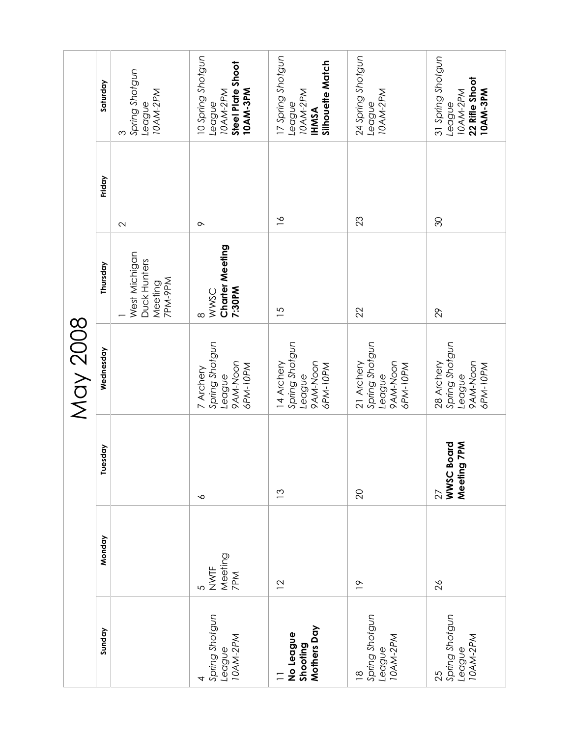|                                                       |                                          |                                                  | <b>May 2008</b>                                                |                                                     |                   |                                                                             |
|-------------------------------------------------------|------------------------------------------|--------------------------------------------------|----------------------------------------------------------------|-----------------------------------------------------|-------------------|-----------------------------------------------------------------------------|
| Sunday                                                | Monday                                   | Tuesday                                          | Wednesday                                                      | Thursday                                            | Friday            | Saturday                                                                    |
|                                                       |                                          |                                                  |                                                                | West Michigan<br>Duck Hunters<br>7PM-9PM<br>Meeting | $\mathbf{\Omega}$ | Spring Shotgun<br>League<br>10AM-2PM<br>S                                   |
| Spring Shotgun<br>League<br>10AM-2PM                  | NWTF<br>Meeting<br>7PM<br>$\overline{c}$ | $\sim$                                           | Spring Shotgun<br>9AM-Noon<br>6PM-10PM<br>7 Archery<br>League  | Charter Meeting<br>7:30PM<br>WWSC<br>$\infty$       | $\sim$            | 10 Spring Shotgun<br>Steel Plate Shoot<br>10AM-3PM<br>10AM-2PM<br>League    |
| Mothers Day<br>No League<br>Shooting                  | $\overline{2}$                           | $\frac{3}{2}$                                    | Spring Shotgun<br>9AM-Noon<br>14 Archery<br>6PM-10PM<br>League | $\overline{5}$                                      | $\frac{8}{10}$    | 17 Spring Shotgun<br>Silhouette Match<br>10AM-2PM<br>League<br><b>IHMSA</b> |
| Spring Shotgun<br>League<br>10AM-2PM<br>$\frac{8}{1}$ | $\tilde{=}$                              | $\overline{20}$                                  | Spring Shotgun<br>9AM-Noon<br>21 Archery<br>6PM-10PM<br>League | 22                                                  | 23                | 24 Spring Shotgun<br>10AM-2PM<br>League                                     |
| Spring Shotgun<br>10AM-2PM<br>League<br>25            | $\frac{8}{2}$                            | <b>Board</b><br>Meeting 7PM<br><b>WWSC</b><br>27 | Spring Shotgun<br>9AM-Noon<br>28 Archery<br>6PM-10PM<br>League | 29                                                  | 30                | 31 Spring Shotgun<br>22 Rifle Shoot<br>10AM-3PM<br>10AM-2PM<br>League       |